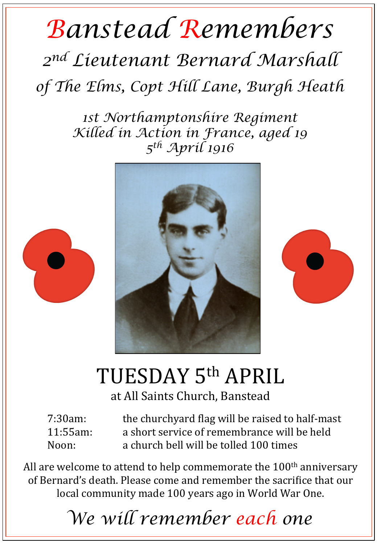## *Banstead Remembers*

*2nd Lieutenant Bernard Marshall of The Elms, Copt Hill Lane, Burgh Heath* 

> *1st Northamptonshire Regiment Killed in Action in France, aged 19 5th April 1916*







## TUESDAY 5<sup>th</sup> APRIL

at All Saints Church, Banstead

| 7:30am:     | the churchyard flag will be raised to half-mast |
|-------------|-------------------------------------------------|
| $11:55am$ : | a short service of remembrance will be held     |
| Noon:       | a church bell will be tolled 100 times          |

All are welcome to attend to help commemorate the  $100<sup>th</sup>$  anniversary of Bernard's death. Please come and remember the sacrifice that our local community made 100 years ago in World War One.

*We will remember each one*